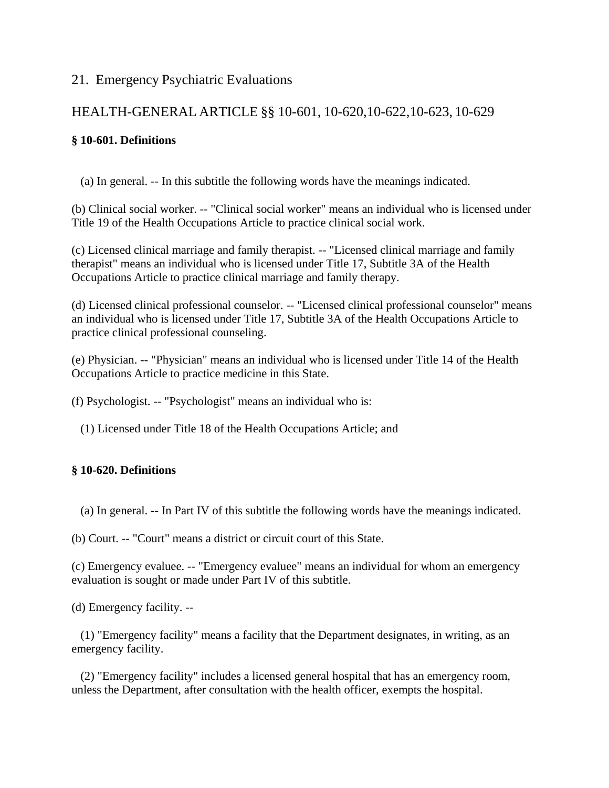# 21. Emergency Psychiatric Evaluations

# HEALTH-GENERAL ARTICLE §§ 10-601, 10-620,10-622,10-623, 10-629

## **§ 10-601. Definitions**

(a) In general. -- In this subtitle the following words have the meanings indicated.

(b) Clinical social worker. -- "Clinical social worker" means an individual who is licensed under Title 19 of the Health Occupations Article to practice clinical social work.

(c) Licensed clinical marriage and family therapist. -- "Licensed clinical marriage and family therapist" means an individual who is licensed under Title 17, Subtitle 3A of the Health Occupations Article to practice clinical marriage and family therapy.

(d) Licensed clinical professional counselor. -- "Licensed clinical professional counselor" means an individual who is licensed under Title 17, Subtitle 3A of the Health Occupations Article to practice clinical professional counseling.

(e) Physician. -- "Physician" means an individual who is licensed under Title 14 of the Health Occupations Article to practice medicine in this State.

(f) Psychologist. -- "Psychologist" means an individual who is:

(1) Licensed under Title 18 of the Health Occupations Article; and

### **§ 10-620. Definitions**

(a) In general. -- In Part IV of this subtitle the following words have the meanings indicated.

(b) Court. -- "Court" means a district or circuit court of this State.

(c) Emergency evaluee. -- "Emergency evaluee" means an individual for whom an emergency evaluation is sought or made under Part IV of this subtitle.

(d) Emergency facility. --

(1) "Emergency facility" means a facility that the Department designates, in writing, as an emergency facility.

(2) "Emergency facility" includes a licensed general hospital that has an emergency room, unless the Department, after consultation with the health officer, exempts the hospital.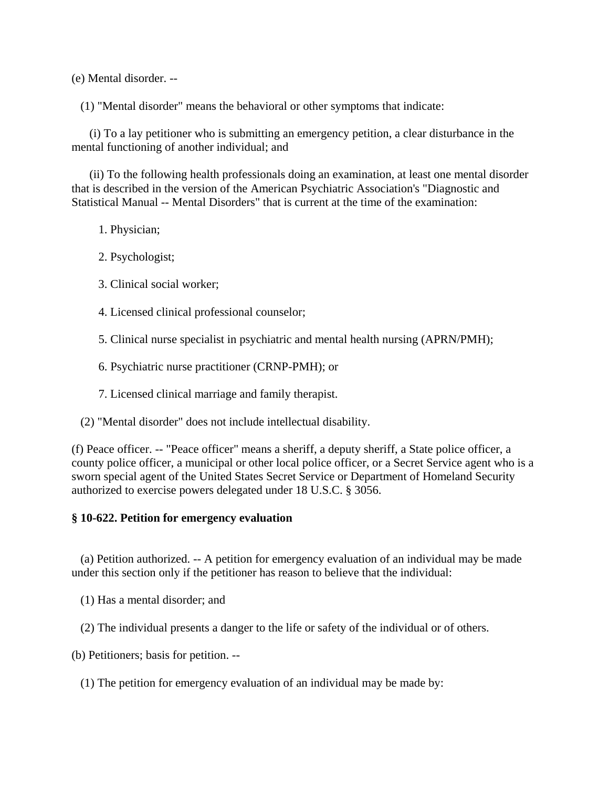(e) Mental disorder. --

(1) "Mental disorder" means the behavioral or other symptoms that indicate:

(i) To a lay petitioner who is submitting an emergency petition, a clear disturbance in the mental functioning of another individual; and

(ii) To the following health professionals doing an examination, at least one mental disorder that is described in the version of the American Psychiatric Association's "Diagnostic and Statistical Manual -- Mental Disorders" that is current at the time of the examination:

1. Physician;

- 2. Psychologist;
- 3. Clinical social worker;
- 4. Licensed clinical professional counselor;
- 5. Clinical nurse specialist in psychiatric and mental health nursing (APRN/PMH);
- 6. Psychiatric nurse practitioner (CRNP-PMH); or
- 7. Licensed clinical marriage and family therapist.
- (2) "Mental disorder" does not include intellectual disability.

(f) Peace officer. -- "Peace officer" means a sheriff, a deputy sheriff, a State police officer, a county police officer, a municipal or other local police officer, or a Secret Service agent who is a sworn special agent of the United States Secret Service or Department of Homeland Security authorized to exercise powers delegated under 18 U.S.C. § 3056.

#### **§ 10-622. Petition for emergency evaluation**

(a) Petition authorized. -- A petition for emergency evaluation of an individual may be made under this section only if the petitioner has reason to believe that the individual:

(1) Has a mental disorder; and

(2) The individual presents a danger to the life or safety of the individual or of others.

(b) Petitioners; basis for petition. --

(1) The petition for emergency evaluation of an individual may be made by: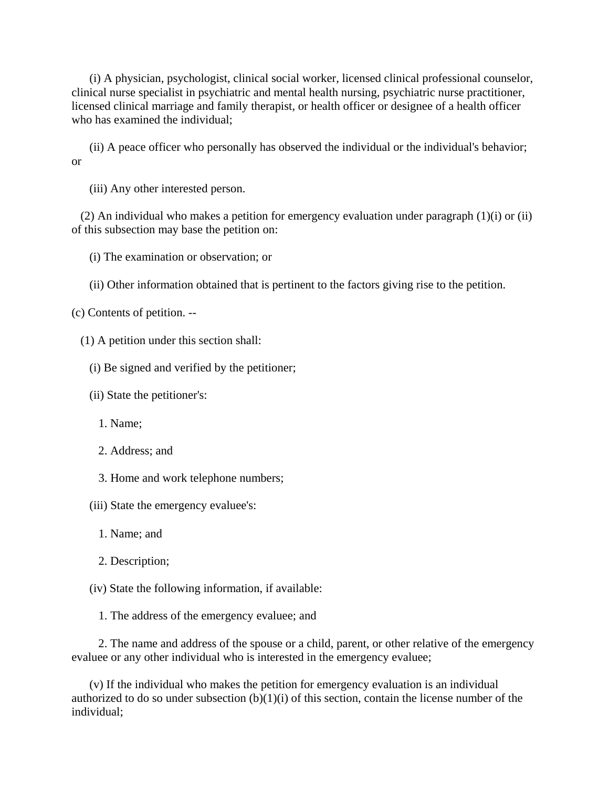(i) A physician, psychologist, clinical social worker, licensed clinical professional counselor, clinical nurse specialist in psychiatric and mental health nursing, psychiatric nurse practitioner, licensed clinical marriage and family therapist, or health officer or designee of a health officer who has examined the individual;

(ii) A peace officer who personally has observed the individual or the individual's behavior; or

(iii) Any other interested person.

(2) An individual who makes a petition for emergency evaluation under paragraph (1)(i) or (ii) of this subsection may base the petition on:

(i) The examination or observation; or

(ii) Other information obtained that is pertinent to the factors giving rise to the petition.

(c) Contents of petition. --

(1) A petition under this section shall:

(i) Be signed and verified by the petitioner;

(ii) State the petitioner's:

1. Name;

2. Address; and

3. Home and work telephone numbers;

(iii) State the emergency evaluee's:

1. Name; and

2. Description;

(iv) State the following information, if available:

1. The address of the emergency evaluee; and

2. The name and address of the spouse or a child, parent, or other relative of the emergency evaluee or any other individual who is interested in the emergency evaluee;

(v) If the individual who makes the petition for emergency evaluation is an individual authorized to do so under subsection  $(b)(1)(i)$  of this section, contain the license number of the individual;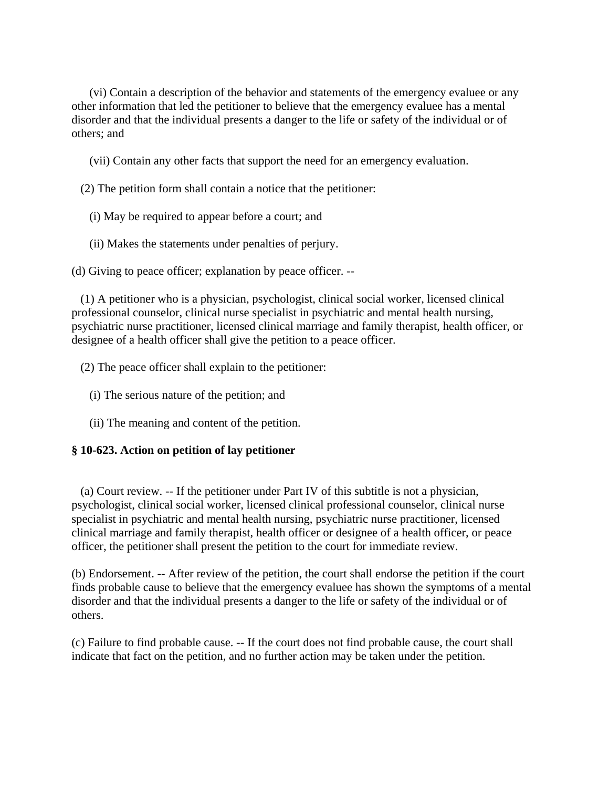(vi) Contain a description of the behavior and statements of the emergency evaluee or any other information that led the petitioner to believe that the emergency evaluee has a mental disorder and that the individual presents a danger to the life or safety of the individual or of others; and

(vii) Contain any other facts that support the need for an emergency evaluation.

(2) The petition form shall contain a notice that the petitioner:

- (i) May be required to appear before a court; and
- (ii) Makes the statements under penalties of perjury.

(d) Giving to peace officer; explanation by peace officer. --

(1) A petitioner who is a physician, psychologist, clinical social worker, licensed clinical professional counselor, clinical nurse specialist in psychiatric and mental health nursing, psychiatric nurse practitioner, licensed clinical marriage and family therapist, health officer, or designee of a health officer shall give the petition to a peace officer.

- (2) The peace officer shall explain to the petitioner:
	- (i) The serious nature of the petition; and
	- (ii) The meaning and content of the petition.

#### **§ 10-623. Action on petition of lay petitioner**

(a) Court review. -- If the petitioner under Part IV of this subtitle is not a physician, psychologist, clinical social worker, licensed clinical professional counselor, clinical nurse specialist in psychiatric and mental health nursing, psychiatric nurse practitioner, licensed clinical marriage and family therapist, health officer or designee of a health officer, or peace officer, the petitioner shall present the petition to the court for immediate review.

(b) Endorsement. -- After review of the petition, the court shall endorse the petition if the court finds probable cause to believe that the emergency evaluee has shown the symptoms of a mental disorder and that the individual presents a danger to the life or safety of the individual or of others.

(c) Failure to find probable cause. -- If the court does not find probable cause, the court shall indicate that fact on the petition, and no further action may be taken under the petition.